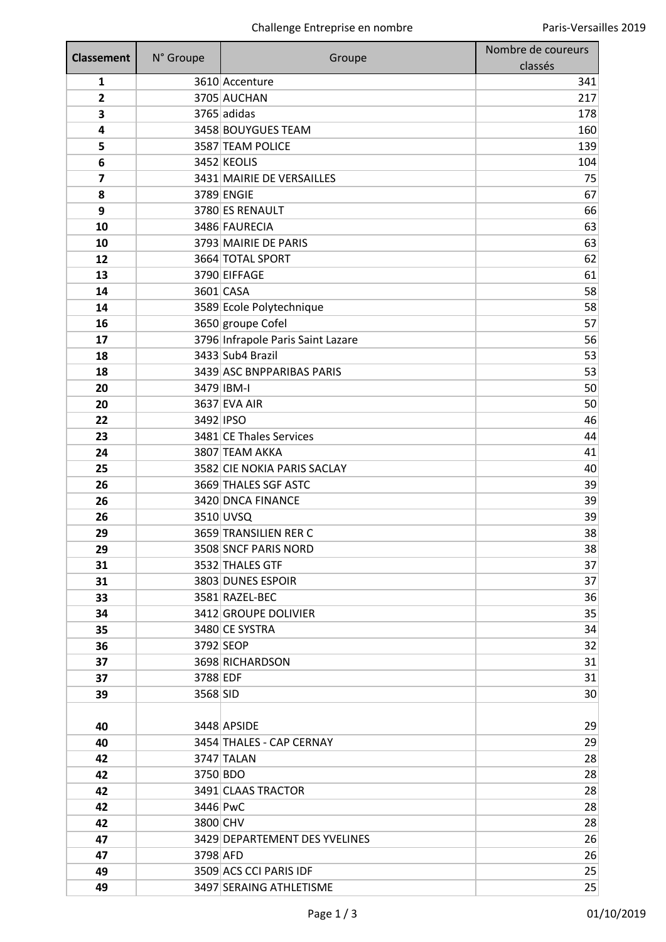| <b>Classement</b> | N° Groupe | Groupe                                    | Nombre de coureurs<br>classés |
|-------------------|-----------|-------------------------------------------|-------------------------------|
| 1                 |           | 3610 Accenture                            | 341                           |
| 2                 |           | 3705 AUCHAN                               | 217                           |
| 3                 |           | $3765$ adidas                             | 178                           |
| 4                 |           | 3458 BOUYGUES TEAM                        | 160                           |
| 5                 |           | 3587 TEAM POLICE                          | 139                           |
| 6                 |           | 3452 KEOLIS                               | 104                           |
| 7                 |           | 3431 MAIRIE DE VERSAILLES                 | 75                            |
| 8                 |           | 3789 ENGIE                                | 67                            |
| 9                 |           | 3780 ES RENAULT                           | 66                            |
| 10                |           | 3486 FAURECIA                             | 63                            |
| 10                |           | 3793 MAIRIE DE PARIS                      | 63                            |
| 12                |           | 3664 TOTAL SPORT                          | 62                            |
| 13                |           | 3790 EIFFAGE                              | 61                            |
| 14                |           | 3601 CASA                                 | 58                            |
| 14                |           | 3589 Ecole Polytechnique                  | 58                            |
| 16                |           | 3650 groupe Cofel                         | 57                            |
| 17                |           | 3796 Infrapole Paris Saint Lazare         | 56                            |
| 18                |           | 3433 Sub4 Brazil                          | 53                            |
| 18                |           | 3439 ASC BNPPARIBAS PARIS                 | 53                            |
| 20                |           | 3479 IBM-I                                | 50                            |
| 20                |           | 3637 EVA AIR                              | 50                            |
| 22                | 3492 IPSO |                                           | 46                            |
| 23                |           | 3481 CE Thales Services                   |                               |
|                   |           | 3807 TEAM AKKA                            | 44<br>41                      |
| 24                |           |                                           |                               |
| 25                |           | 3582 CIE NOKIA PARIS SACLAY               | 40                            |
| 26                |           | 3669 THALES SGF ASTC<br>3420 DNCA FINANCE | 39                            |
| 26                |           |                                           | 39                            |
| 26                |           | 3510 UVSQ                                 | 39                            |
| 29                |           | 3659 TRANSILIEN RER C                     | 38                            |
| 29                |           | 3508 SNCF PARIS NORD                      | 38                            |
| 31                |           | 3532 THALES GTF                           | 37                            |
| 31                |           | 3803 DUNES ESPOIR                         | 37                            |
| 33                |           | 3581 RAZEL-BEC                            | 36                            |
| 34                |           | 3412 GROUPE DOLIVIER                      | 35                            |
| 35                |           | 3480 CE SYSTRA                            | 34                            |
| 36                |           | 3792 SEOP                                 | 32                            |
| 37                |           | 3698 RICHARDSON                           | 31                            |
| 37                | 3788 EDF  |                                           | 31                            |
| 39                | 3568 SID  |                                           | 30                            |
| 40                |           | 3448 APSIDE                               | 29                            |
| 40                |           | 3454 THALES - CAP CERNAY                  | 29                            |
| 42                |           | 3747 TALAN                                | 28                            |
| 42                | 3750 BDO  |                                           | 28                            |
| 42                |           | 3491 CLAAS TRACTOR                        | 28                            |
| 42                | 3446 PwC  |                                           | 28                            |
| 42                | 3800 CHV  |                                           | 28                            |
| 47                |           | 3429 DEPARTEMENT DES YVELINES             | 26                            |
| 47                | 3798 AFD  |                                           | 26                            |
| 49                |           | 3509 ACS CCI PARIS IDF                    | 25                            |
| 49                |           | 3497 SERAING ATHLETISME                   | 25                            |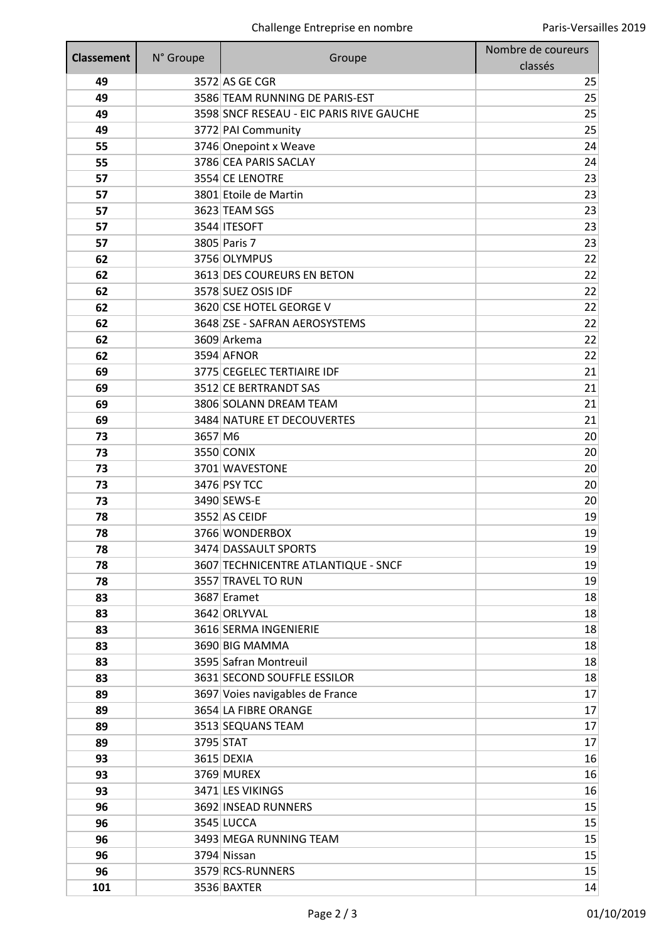| <b>Classement</b> | N° Groupe | Groupe                                                  | Nombre de coureurs |
|-------------------|-----------|---------------------------------------------------------|--------------------|
|                   |           |                                                         | classés            |
| 49                |           | 3572 AS GE CGR                                          | 25                 |
| 49                |           | 3586 TEAM RUNNING DE PARIS-EST                          | 25                 |
| 49                |           | 3598 SNCF RESEAU - EIC PARIS RIVE GAUCHE                | 25                 |
| 49                |           | 3772 PAI Community                                      | 25                 |
| 55                |           | 3746 Onepoint x Weave                                   | 24                 |
| 55                |           | 3786 CEA PARIS SACLAY                                   | 24                 |
| 57                |           | 3554 CE LENOTRE                                         | 23                 |
| 57                |           | 3801 Etoile de Martin                                   | 23                 |
| 57                |           | 3623 TEAM SGS                                           | 23                 |
| 57                |           | 3544 ITESOFT                                            | 23                 |
| 57                |           | 3805 Paris 7                                            | 23                 |
| 62                |           | 3756 OLYMPUS                                            | 22                 |
| 62                |           | 3613 DES COUREURS EN BETON                              | 22                 |
| 62                |           | 3578 SUEZ OSIS IDF                                      | 22                 |
| 62                |           | 3620 CSE HOTEL GEORGE V                                 | 22                 |
| 62                |           | 3648 ZSE - SAFRAN AEROSYSTEMS                           | 22                 |
| 62                |           | 3609 Arkema                                             | 22                 |
| 62                |           | 3594 AFNOR                                              | 22                 |
| 69                |           | 3775 CEGELEC TERTIAIRE IDF                              | 21                 |
| 69                |           | 3512 CE BERTRANDT SAS                                   | 21                 |
| 69                |           | 3806 SOLANN DREAM TEAM                                  | 21                 |
| 69                |           | 3484 NATURE ET DECOUVERTES                              | 21                 |
| 73                | 3657 M6   |                                                         | 20                 |
| 73                |           | 3550 CONIX                                              | 20                 |
| 73                |           | 3701 WAVESTONE                                          | 20                 |
| 73                |           | 3476 PSY TCC                                            | 20                 |
| 73                |           | 3490 SEWS-E                                             | 20                 |
| 78                |           | 3552 AS CEIDF                                           | 19                 |
| 78                |           | 3766 WONDERBOX                                          | 19                 |
| 78                |           | 3474 DASSAULT SPORTS                                    | 19                 |
| 78                |           | 3607 TECHNICENTRE ATLANTIQUE - SNCF                     | 19                 |
| 78                |           | 3557 TRAVEL TO RUN                                      | 19                 |
| 83                |           | 3687 Eramet                                             | 18                 |
| 83                |           | 3642 ORLYVAL                                            | 18                 |
| 83                |           | 3616 SERMA INGENIERIE                                   | 18                 |
| 83                |           | 3690 BIG MAMMA                                          | 18                 |
| 83                |           | 3595 Safran Montreuil<br>3631 SECOND SOUFFLE ESSILOR    | 18                 |
| 83                |           |                                                         | 18<br>17           |
| 89<br>89          |           | 3697 Voies navigables de France<br>3654 LA FIBRE ORANGE | 17                 |
|                   |           | 3513 SEQUANS TEAM                                       | 17                 |
| 89<br>89          |           | 3795 STAT                                               | 17                 |
| 93                |           | 3615 DEXIA                                              | 16                 |
| 93                |           | 3769 MUREX                                              |                    |
|                   |           | 3471 LES VIKINGS                                        | 16                 |
| 93                |           | 3692 INSEAD RUNNERS                                     | 16<br>15           |
| 96                |           |                                                         |                    |
| 96                |           | 3545 LUCCA<br>3493 MEGA RUNNING TEAM                    | 15<br>15           |
| 96                |           | 3794 Nissan                                             | 15                 |
| 96                |           | 3579 RCS-RUNNERS                                        |                    |
| 96                |           |                                                         | 15                 |
| 101               |           | 3536 BAXTER                                             | 14                 |